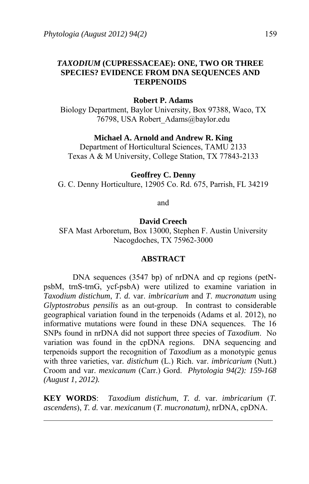# *TAXODIUM* **(CUPRESSACEAE): ONE, TWO OR THREE SPECIES? EVIDENCE FROM DNA SEQUENCES AND TERPENOIDS**

## **Robert P. Adams**

Biology Department, Baylor University, Box 97388, Waco, TX 76798, USA Robert\_Adams@baylor.edu

## **Michael A. Arnold and Andrew R. King**

Department of Horticultural Sciences, TAMU 2133 Texas A & M University, College Station, TX 77843-2133

## **Geoffrey C. Denny**

G. C. Denny Horticulture, 12905 Co. Rd. 675, Parrish, FL 34219

and

## **David Creech**

SFA Mast Arboretum, Box 13000, Stephen F. Austin University Nacogdoches, TX 75962-3000

#### **ABSTRACT**

DNA sequences (3547 bp) of nrDNA and cp regions (petNpsbM, trnS-trnG, ycf-psbA) were utilized to examine variation in *Taxodium distichum*, *T. d.* var. *imbricarium* and *T*. *mucronatum* using *Glyptostrobus pensilis* as an out-group. In contrast to considerable geographical variation found in the terpenoids (Adams et al. 2012), no informative mutations were found in these DNA sequences. The 16 SNPs found in nrDNA did not support three species of *Taxodium*. No variation was found in the cpDNA regions. DNA sequencing and terpenoids support the recognition of *Taxodium* as a monotypic genus with three varieties, var*. distichum* (L.) Rich. var. *imbricarium* (Nutt.) Croom and var. *mexicanum* (Carr.) Gord. *Phytologia 94(2): 159-168 (August 1, 2012).*

**KEY WORDS**: *Taxodium distichum*, *T. d.* var. *imbricarium* (*T*. *ascendens*), *T. d.* var. *mexicanum* (*T*. *mucronatum)*, nrDNA, cpDNA.

 $\ddot{\phantom{a}}$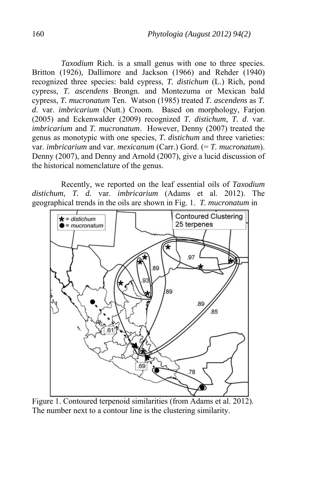*Taxodium* Rich. is a small genus with one to three species. Britton (1926), Dallimore and Jackson (1966) and Rehder (1940) recognized three species: bald cypress, *T. distichum* (L.) Rich, pond cypress, *T. ascendens* Brongn. and Montezuma or Mexican bald cypress, *T. mucronatum* Ten. Watson (1985) treated *T. ascendens* as *T. d*. var. *imbricarium* (Nutt.) Croom. Based on morphology, Farjon (2005) and Eckenwalder (2009) recognized *T. distichum*, *T. d*. var. *imbricarium* and *T. mucronatum*. However, Denny (2007) treated the genus as monotypic with one species, *T. distichum* and three varieties: var. *imbricarium* and var. *mexicanum* (Carr.) Gord. (= *T. mucronatum*). Denny (2007), and Denny and Arnold (2007), give a lucid discussion of the historical nomenclature of the genus.

 Recently, we reported on the leaf essential oils of *Taxodium distichum*, *T. d.* var. *imbricarium* (Adams et al. 2012). The geographical trends in the oils are shown in Fig. 1. *T. mucronatum* in



Figure 1. Contoured terpenoid similarities (from Adams et al. 2012). The number next to a contour line is the clustering similarity.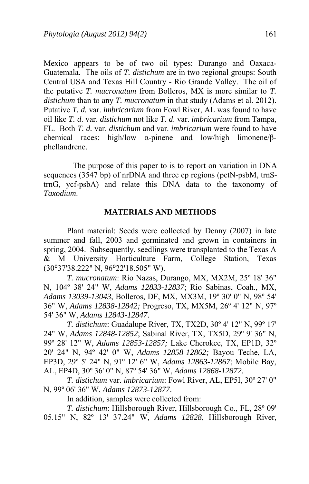Mexico appears to be of two oil types: Durango and Oaxaca-Guatemala. The oils of *T. distichum* are in two regional groups: South Central USA and Texas Hill Country - Rio Grande Valley. The oil of the putative *T. mucronatum* from Bolleros, MX is more similar to *T. distichum* than to any *T. mucronatum* in that study (Adams et al. 2012). Putative *T. d.* var. *imbricarium* from Fowl River, AL was found to have oil like *T. d*. var. *distichum* not like *T. d*. var. *imbricarium* from Tampa, FL. Both *T. d.* var. *distichum* and var. *imbricarium* were found to have chemical races: high/low α-pinene and low/high limonene/βphellandrene.

 The purpose of this paper to is to report on variation in DNA sequences (3547 bp) of nrDNA and three cp regions (petN-psbM, trnStrnG, ycf-psbA) and relate this DNA data to the taxonomy of *Taxodium*.

## **MATERIALS AND METHODS**

 Plant material: Seeds were collected by Denny (2007) in late summer and fall, 2003 and germinated and grown in containers in spring, 2004. Subsequently, seedlings were transplanted to the Texas A & M University Horticulture Farm, College Station, Texas (30⁰37'38.222" N, 96⁰22'18.505" W).

*T. mucronatum*: Rio Nazas, Durango, MX, MX2M, 25º 18' 36" N, 104º 38' 24" W, *Adams 12833-12837*; Rio Sabinas, Coah., MX, *Adams 13039-13043*, Bolleros, DF, MX, MX3M, 19º 30' 0" N, 98º 54' 36" W, *Adams 12838-12842;* Progreso, TX, MX5M, 26º 4' 12" N, 97º 54' 36" W, *Adams 12843-12847*.

*T. distichum*: Guadalupe River, TX, TX2D, 30º 4' 12" N, 99º 17' 24" W, *Adams 12848-12852*; Sabinal River, TX, TX5D, 29º 9' 36" N, 99º 28' 12" W, *Adams 12853-12857;* Lake Cherokee, TX, EP1D, 32º 20' 24" N, 94º 42' 0" W, *Adams 12858-12862;* Bayou Teche, LA, EP3D, 29º 5' 24" N, 91º 12' 6" W, *Adams 12863-12867*; Mobile Bay, AL, EP4D, 30º 36' 0" N, 87º 54' 36" W, *Adams 12868-12872*.

*T. distichum* var. *imbricarium*: Fowl River, AL, EP5I, 30º 27' 0" N, 99º 06' 36" W, *Adams 12873-12877*.

In addition, samples were collected from:

*T. distichum*: Hillsborough River, Hillsborough Co., FL, 28º 09' 05.15" N, 82º 13' 37.24" W, *Adams 12828*, Hillsborough River,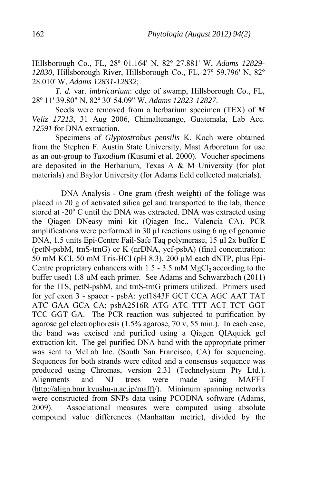Hillsborough Co., FL, 28º 01.164' N, 82º 27.881' W, *Adams 12829- 12830,* Hillsborough River, Hillsborough Co., FL, 27º 59.796' N, 82º 28.010' W, *Adams 12831-12832*;

*T. d.* var. *imbricarium*: edge of swamp, Hillsborough Co., FL, 28º 11' 39.80" N, 82º 30' 54.09" W, *Adams 12823-12827*.

 Seeds were removed from a herbarium specimen (TEX) of *M Veliz 17213*, 31 Aug 2006, Chimaltenango, Guatemala, Lab Acc. *12591* for DNA extraction.

 Specimens of *Glyptostrobus pensilis* K. Koch were obtained from the Stephen F. Austin State University, Mast Arboretum for use as an out-group to *Taxodium* (Kusumi et al. 2000). Voucher specimens are deposited in the Herbarium, Texas A & M University (for plot materials) and Baylor University (for Adams field collected materials).

 DNA Analysis - One gram (fresh weight) of the foliage was placed in 20 g of activated silica gel and transported to the lab, thence stored at -20 $\mathrm{^{\circ}C}$  until the DNA was extracted. DNA was extracted using the Qiagen DNeasy mini kit (Qiagen Inc., Valencia CA). PCR amplifications were performed in 30 µl reactions using 6 ng of genomic DNA, 1.5 units Epi-Centre Fail-Safe Taq polymerase, 15 µl 2x buffer E (petN-psbM, trnS-trnG) or K (nrDNA, ycf-psbA) (final concentration: 50 mM KCl, 50 mM Tris-HCl (pH 8.3), 200 µM each dNTP, plus Epi-Centre proprietary enhancers with  $1.5 - 3.5$  mM MgCl<sub>2</sub> according to the buffer used) 1.8 µM each primer. See Adams and Schwarzbach (2011) for the ITS, petN-psbM, and trnS-trnG primers utilized. Primers used for ycf exon 3 - spacer - psbA: ycf1843F GCT CCA AGC AAT TAT ATC GAA GCA CA; psbA2516R ATG ATC TTT ACT TCT GGT TCC GGT GA. The PCR reaction was subjected to purification by agarose gel electrophoresis (1.5% agarose, 70 v, 55 min.). In each case, the band was excised and purified using a Qiagen QIAquick gel extraction kit. The gel purified DNA band with the appropriate primer was sent to McLab Inc. (South San Francisco, CA) for sequencing. Sequences for both strands were edited and a consensus sequence was produced using Chromas, version 2.31 (Technelysium Pty Ltd.). Alignments and NJ trees were made using MAFFT (http://align.bmr.kyushu-u.ac.jp/mafft/). Minimum spanning networks were constructed from SNPs data using PCODNA software (Adams, 2009). Associational measures were computed using absolute compound value differences (Manhattan metric), divided by the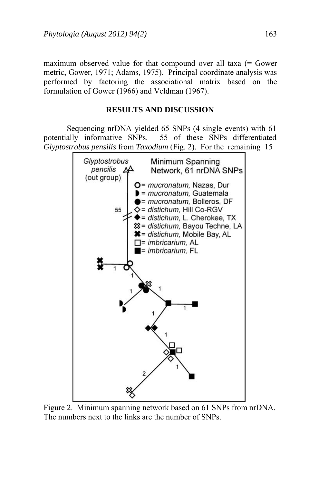maximum observed value for that compound over all taxa (= Gower metric, Gower, 1971; Adams, 1975). Principal coordinate analysis was performed by factoring the associational matrix based on the formulation of Gower (1966) and Veldman (1967).

# **RESULTS AND DISCUSSION**

 Sequencing nrDNA yielded 65 SNPs (4 single events) with 61 potentially informative SNPs. 55 of these SNPs differentiated *Glyptostrobus pensilis* from *Taxodium* (Fig. 2). For the remaining 15



Figure 2. Minimum spanning network based on 61 SNPs from nrDNA. The numbers next to the links are the number of SNPs.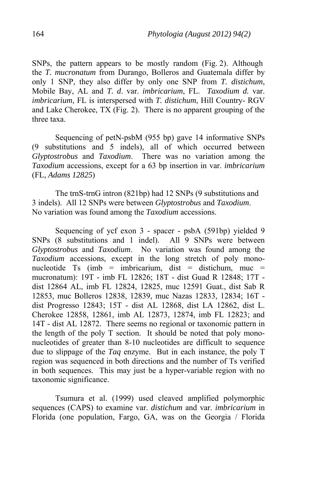SNPs, the pattern appears to be mostly random (Fig. 2). Although the *T. mucronatum* from Durango, Bolleros and Guatemala differ by only 1 SNP, they also differ by only one SNP from *T. distichum*, Mobile Bay, AL and *T. d*. var. *imbricarium*, FL. *Taxodium d.* var. *imbricarium*, FL is interspersed with *T. distichum*, Hill Country- RGV and Lake Cherokee, TX (Fig. 2). There is no apparent grouping of the three taxa.

 Sequencing of petN-psbM (955 bp) gave 14 informative SNPs (9 substitutions and 5 indels), all of which occurred between *Glyptostrobus* and *Taxodium*. There was no variation among the *Taxodium* accessions, except for a 63 bp insertion in var. *imbricarium* (FL, *Adams 12825*)

 The trnS-trnG intron (821bp) had 12 SNPs (9 substitutions and 3 indels). All 12 SNPs were between *Glyptostrobus* and *Taxodium*. No variation was found among the *Taxodium* accessions.

 Sequencing of ycf exon 3 - spacer - psbA (591bp) yielded 9 SNPs (8 substitutions and 1 indel). All 9 SNPs were between *Glyptostrobus* and *Taxodium*. No variation was found among the *Taxodium* accessions, except in the long stretch of poly mononucleotide Ts (imb = imbricarium, dist = distichum, muc = mucronatum): 19T - imb FL 12826; 18T - dist Guad R 12848; 17T dist 12864 AL, imb FL 12824, 12825, muc 12591 Guat., dist Sab R 12853, muc Bolleros 12838, 12839, muc Nazas 12833, 12834; 16T dist Progresso 12843; 15T - dist AL 12868, dist LA 12862, dist L. Cherokee 12858, 12861, imb AL 12873, 12874, imb FL 12823; and 14T - dist AL 12872. There seems no regional or taxonomic pattern in the length of the poly T section. It should be noted that poly mononucleotides of greater than 8-10 nucleotides are difficult to sequence due to slippage of the *Taq* enzyme. But in each instance, the poly T region was sequenced in both directions and the number of Ts verified in both sequences. This may just be a hyper-variable region with no taxonomic significance.

 Tsumura et al. (1999) used cleaved amplified polymorphic sequences (CAPS) to examine var. *distichum* and var. *imbricarium* in Florida (one population, Fargo, GA, was on the Georgia / Florida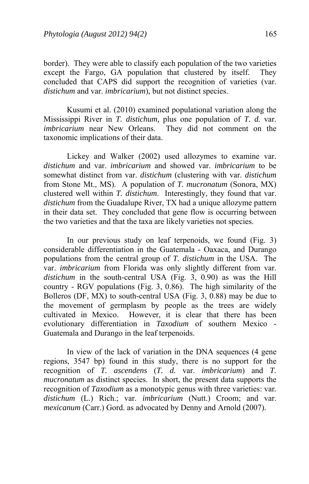border). They were able to classify each population of the two varieties except the Fargo, GA population that clustered by itself. They concluded that CAPS did support the recognition of varieties (var. *distichum* and var. *imbricarium*), but not distinct species.

 Kusumi et al. (2010) examined populational variation along the Mississippi River in *T. distichum,* plus one population of *T. d.* var. *imbricarium* near New Orleans. They did not comment on the taxonomic implications of their data.

 Lickey and Walker (2002) used allozymes to examine var. *distichum* and var. *imbricarium* and showed var. *imbricarium* to be somewhat distinct from var. *distichum* (clustering with var. *distichum* from Stone Mt., MS). A population of *T. mucronatum* (Sonora, MX) clustered well within *T. distichum*. Interestingly, they found that var. *distichum* from the Guadalupe River, TX had a unique allozyme pattern in their data set. They concluded that gene flow is occurring between the two varieties and that the taxa are likely varieties not species.

 In our previous study on leaf terpenoids, we found (Fig. 3) considerable differentiation in the Guatemala - Oaxaca, and Durango populations from the central group of *T. distichum* in the USA. The var. *imbricarium* from Florida was only slightly different from var. *distichum* in the south-central USA (Fig. 3, 0.90) as was the Hill country - RGV populations (Fig. 3, 0.86). The high similarity of the Bolleros (DF, MX) to south-central USA (Fig. 3, 0.88) may be due to the movement of germplasm by people as the trees are widely cultivated in Mexico. However, it is clear that there has been evolutionary differentiation in *Taxodium* of southern Mexico - Guatemala and Durango in the leaf terpenoids.

 In view of the lack of variation in the DNA sequences (4 gene regions, 3547 bp) found in this study, there is no support for the recognition of *T. ascendens* (*T. d.* var. *imbricarium*) and *T. mucronatum* as distinct species. In short, the present data supports the recognition of *Taxodium* as a monotypic genus with three varieties: var*. distichum* (L.) Rich.; var. *imbricarium* (Nutt.) Croom; and var. *mexicanum* (Carr.) Gord. as advocated by Denny and Arnold (2007).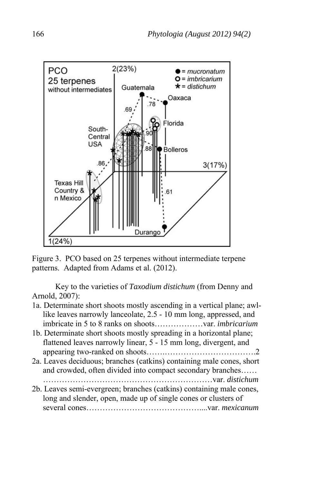

Figure 3. PCO based on 25 terpenes without intermediate terpene patterns. Adapted from Adams et al. (2012).

 Key to the varieties of *Taxodium distichum* (from Denny and Arnold, 2007):

| 1a. Determinate short shoots mostly ascending in a vertical plane; awl- |  |
|-------------------------------------------------------------------------|--|
| like leaves narrowly lanceolate, 2.5 - 10 mm long, appressed, and       |  |
|                                                                         |  |

- 1b. Determinate short shoots mostly spreading in a horizontal plane; flattened leaves narrowly linear, 5 - 15 mm long, divergent, and appearing two-ranked on shoots…….…………………………….2
- 2a. Leaves deciduous; branches (catkins) containing male cones, short and crowded, often divided into compact secondary branches…… ………………………………………………………var. *distichum*
- 2b. Leaves semi-evergreen; branches (catkins) containing male cones, long and slender, open, made up of single cones or clusters of several cones……………………………………....var. *mexicanum*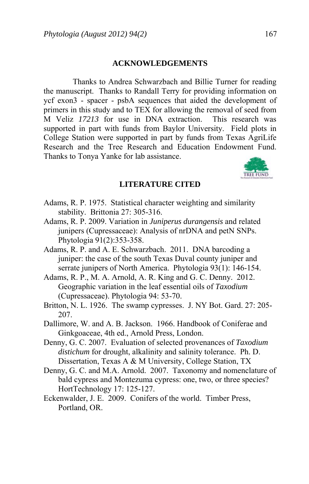#### **ACKNOWLEDGEMENTS**

Thanks to Andrea Schwarzbach and Billie Turner for reading the manuscript. Thanks to Randall Terry for providing information on ycf exon3 - spacer - psbA sequences that aided the development of primers in this study and to TEX for allowing the removal of seed from M Veliz *17213* for use in DNA extraction. This research was supported in part with funds from Baylor University. Field plots in College Station were supported in part by funds from Texas AgriLife Research and the Tree Research and Education Endowment Fund. Thanks to Tonya Yanke for lab assistance.



#### **LITERATURE CITED**

- Adams, R. P. 1975. Statistical character weighting and similarity stability. Brittonia 27: 305-316.
- Adams, R. P. 2009. Variation in *Juniperus durangensis* and related junipers (Cupressaceae): Analysis of nrDNA and petN SNPs. Phytologia 91(2):353-358.
- Adams, R. P. and A. E. Schwarzbach. 2011. DNA barcoding a juniper: the case of the south Texas Duval county juniper and serrate junipers of North America. Phytologia 93(1): 146-154.
- Adams, R. P., M. A. Arnold, A. R. King and G. C. Denny. 2012. Geographic variation in the leaf essential oils of *Taxodium* (Cupressaceae). Phytologia 94: 53-70.
- Britton, N. L. 1926. The swamp cypresses. J. NY Bot. Gard. 27: 205- 207.
- Dallimore, W. and A. B. Jackson. 1966. Handbook of Coniferae and Ginkgoaceae, 4th ed., Arnold Press, London.
- Denny, G. C. 2007. Evaluation of selected provenances of *Taxodium distichum* for drought, alkalinity and salinity tolerance. Ph. D. Dissertation, Texas A & M University, College Station, TX
- Denny, G. C. and M.A. Arnold. 2007. Taxonomy and nomenclature of bald cypress and Montezuma cypress: one, two, or three species? HortTechnology 17: 125-127.
- Eckenwalder, J. E. 2009. Conifers of the world. Timber Press, Portland, OR.